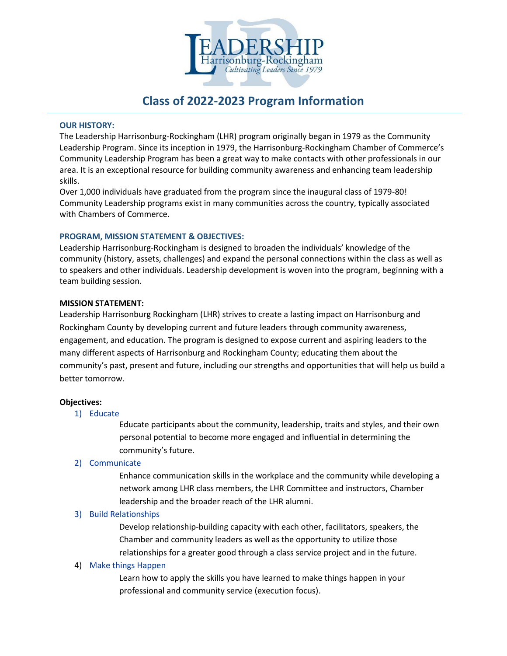

# **Class of 2022-2023 Program Information**

### **OUR HISTORY:**

The Leadership Harrisonburg-Rockingham (LHR) program originally began in 1979 as the Community Leadership Program. Since its inception in 1979, the Harrisonburg-Rockingham Chamber of Commerce's Community Leadership Program has been a great way to make contacts with other professionals in our area. It is an exceptional resource for building community awareness and enhancing team leadership skills.

Over 1,000 individuals have graduated from the program since the inaugural class of 1979-80! Community Leadership programs exist in many communities across the country, typically associated with Chambers of Commerce.

### **PROGRAM, MISSION STATEMENT & OBJECTIVES:**

Leadership Harrisonburg-Rockingham is designed to broaden the individuals' knowledge of the community (history, assets, challenges) and expand the personal connections within the class as well as to speakers and other individuals. Leadership development is woven into the program, beginning with a team building session.

### **MISSION STATEMENT:**

Leadership Harrisonburg Rockingham (LHR) strives to create a lasting impact on Harrisonburg and Rockingham County by developing current and future leaders through community awareness, engagement, and education. The program is designed to expose current and aspiring leaders to the many different aspects of Harrisonburg and Rockingham County; educating them about the community's past, present and future, including our strengths and opportunities that will help us build a better tomorrow.

### **Objectives:**

### 1) Educate

Educate participants about the community, leadership, traits and styles, and their own personal potential to become more engaged and influential in determining the community's future.

## 2) Communicate

Enhance communication skills in the workplace and the community while developing a network among LHR class members, the LHR Committee and instructors, Chamber leadership and the broader reach of the LHR alumni.

### 3) Build Relationships

Develop relationship-building capacity with each other, facilitators, speakers, the Chamber and community leaders as well as the opportunity to utilize those relationships for a greater good through a class service project and in the future.

## 4) Make things Happen

Learn how to apply the skills you have learned to make things happen in your professional and community service (execution focus).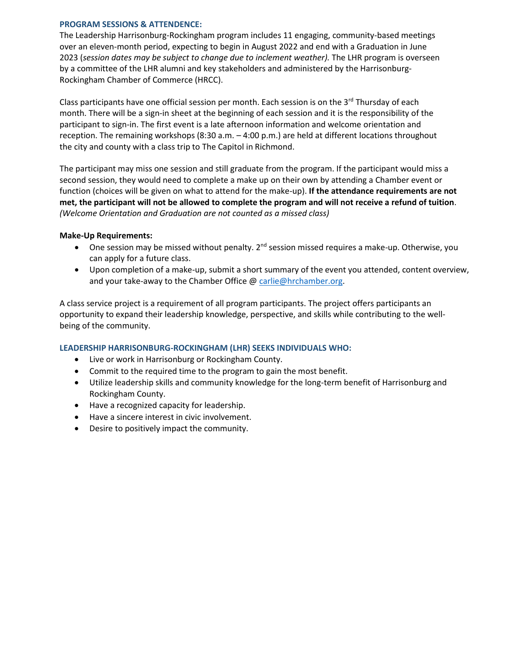### **PROGRAM SESSIONS & ATTENDENCE:**

The Leadership Harrisonburg-Rockingham program includes 11 engaging, community-based meetings over an eleven-month period, expecting to begin in August 2022 and end with a Graduation in June 2023 (*session dates may be subject to change due to inclement weather).* The LHR program is overseen by a committee of the LHR alumni and key stakeholders and administered by the Harrisonburg-Rockingham Chamber of Commerce (HRCC).

Class participants have one official session per month. Each session is on the  $3<sup>rd</sup>$  Thursday of each month. There will be a sign-in sheet at the beginning of each session and it is the responsibility of the participant to sign-in. The first event is a late afternoon information and welcome orientation and reception. The remaining workshops (8:30 a.m. – 4:00 p.m.) are held at different locations throughout the city and county with a class trip to The Capitol in Richmond.

The participant may miss one session and still graduate from the program. If the participant would miss a second session, they would need to complete a make up on their own by attending a Chamber event or function (choices will be given on what to attend for the make-up). **If the attendance requirements are not met, the participant will not be allowed to complete the program and will not receive a refund of tuition**. *(Welcome Orientation and Graduation are not counted as a missed class)* 

### **Make-Up Requirements:**

- One session may be missed without penalty. 2<sup>nd</sup> session missed requires a make-up. Otherwise, vou can apply for a future class.
- Upon completion of a make-up, submit a short summary of the event you attended, content overview, and your take-away to the Chamber Office @ [carlie@hrchamber.org.](mailto:carlie@hrchamber.org)

A class service project is a requirement of all program participants. The project offers participants an opportunity to expand their leadership knowledge, perspective, and skills while contributing to the wellbeing of the community.

## **LEADERSHIP HARRISONBURG-ROCKINGHAM (LHR) SEEKS INDIVIDUALS WHO:**

- Live or work in Harrisonburg or Rockingham County.
- Commit to the required time to the program to gain the most benefit.
- Utilize leadership skills and community knowledge for the long-term benefit of Harrisonburg and Rockingham County.
- Have a recognized capacity for leadership.
- Have a sincere interest in civic involvement.
- Desire to positively impact the community.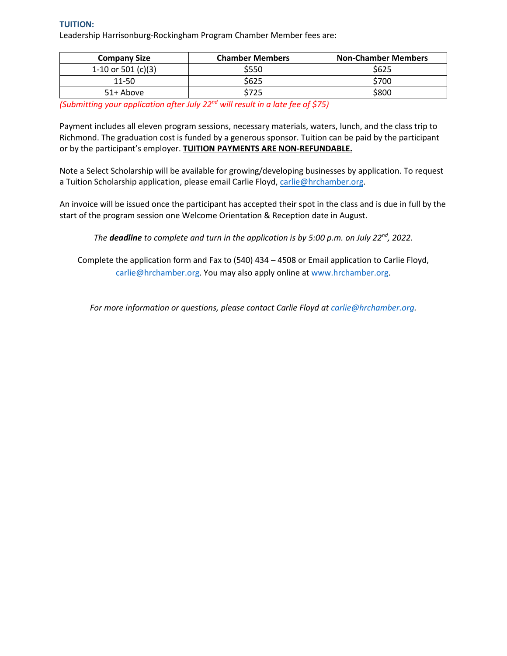### **TUITION:**

Leadership Harrisonburg-Rockingham Program Chamber Member fees are:

| <b>Company Size</b> | <b>Chamber Members</b> | <b>Non-Chamber Members</b> |
|---------------------|------------------------|----------------------------|
| 1-10 or 501 (c)(3)  | \$550                  | \$625                      |
| $11 - 50$           | \$625                  | \$700                      |
| 51+ Above           | \$725                  | \$800                      |

*(Submitting your application after July 22nd will result in a late fee of \$75)* 

Payment includes all eleven program sessions, necessary materials, waters, lunch, and the class trip to Richmond. The graduation cost is funded by a generous sponsor. Tuition can be paid by the participant or by the participant's employer. **TUITION PAYMENTS ARE NON-REFUNDABLE.** 

Note a Select Scholarship will be available for growing/developing businesses by application. To request a Tuition Scholarship application, please email Carlie Floyd, [carlie@hrchamber.org.](mailto:carlie@hrchamber.org)

An invoice will be issued once the participant has accepted their spot in the class and is due in full by the start of the program session one Welcome Orientation & Reception date in August.

*The deadline to complete and turn in the application is by 5:00 p.m. on July 22nd, 2022.* 

Complete the application form and Fax to (540) 434 – 4508 or Email application to Carlie Floyd, [carlie@hrchamber.org.](mailto:carlie@hrchamber.org) You may also apply online at [www.hrchamber.org.](http://www.hrchamber.org/)

*For more information or questions, please contact Carlie Floyd at [carlie@hrchamber.org.](mailto:carlie@hrchamber.org)*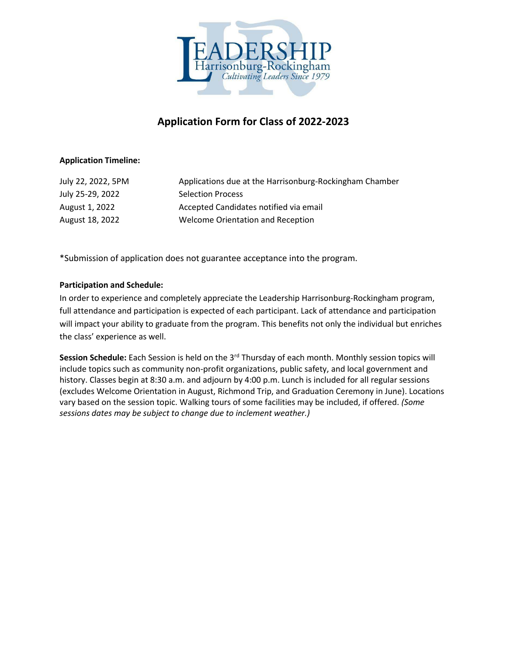

# **Application Form for Class of 2022-2023**

## **Application Timeline:**

| July 22, 2022, 5PM | Applications due at the Harrisonburg-Rockingham Chamber |
|--------------------|---------------------------------------------------------|
| July 25-29, 2022   | <b>Selection Process</b>                                |
| August 1, 2022     | Accepted Candidates notified via email                  |
| August 18, 2022    | Welcome Orientation and Reception                       |

\*Submission of application does not guarantee acceptance into the program.

# **Participation and Schedule:**

In order to experience and completely appreciate the Leadership Harrisonburg-Rockingham program, full attendance and participation is expected of each participant. Lack of attendance and participation will impact your ability to graduate from the program. This benefits not only the individual but enriches the class' experience as well.

**Session Schedule:** Each Session is held on the 3rd Thursday of each month. Monthly session topics will include topics such as community non-profit organizations, public safety, and local government and history. Classes begin at 8:30 a.m. and adjourn by 4:00 p.m. Lunch is included for all regular sessions (excludes Welcome Orientation in August, Richmond Trip, and Graduation Ceremony in June). Locations vary based on the session topic. Walking tours of some facilities may be included, if offered. *(Some sessions dates may be subject to change due to inclement weather.)*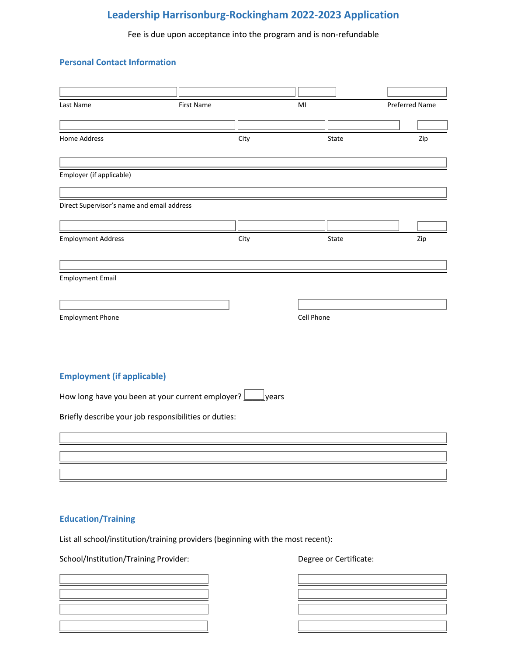# **Leadership Harrisonburg-Rockingham 2022-2023 Application**

Fee is due upon acceptance into the program and is non-refundable

## **Personal Contact Information**

| Last Name                                             | First Name |               |            |       |                |     |
|-------------------------------------------------------|------------|---------------|------------|-------|----------------|-----|
|                                                       |            |               | MI         |       | Preferred Name |     |
|                                                       |            |               |            |       |                |     |
| Home Address                                          |            | City          |            | State |                | Zip |
| Employer (if applicable)                              |            |               |            |       |                |     |
| Direct Supervisor's name and email address            |            |               |            |       |                |     |
|                                                       |            |               |            |       |                |     |
| <b>Employment Address</b>                             |            | City          |            | State |                | Zip |
|                                                       |            |               |            |       |                |     |
| <b>Employment Email</b>                               |            |               |            |       |                |     |
|                                                       |            |               |            |       |                |     |
| <b>Employment Phone</b>                               |            |               | Cell Phone |       |                |     |
|                                                       |            |               |            |       |                |     |
|                                                       |            |               |            |       |                |     |
| <b>Employment (if applicable)</b>                     |            |               |            |       |                |     |
| How long have you been at your current employer?      |            | <u>lyears</u> |            |       |                |     |
| Briefly describe your job responsibilities or duties: |            |               |            |       |                |     |
|                                                       |            |               |            |       |                |     |
|                                                       |            |               |            |       |                |     |
|                                                       |            |               |            |       |                |     |
|                                                       |            |               |            |       |                |     |

# **Education/Training**

List all school/institution/training providers (beginning with the most recent):

School/Institution/Training Provider: Degree or Certificate:

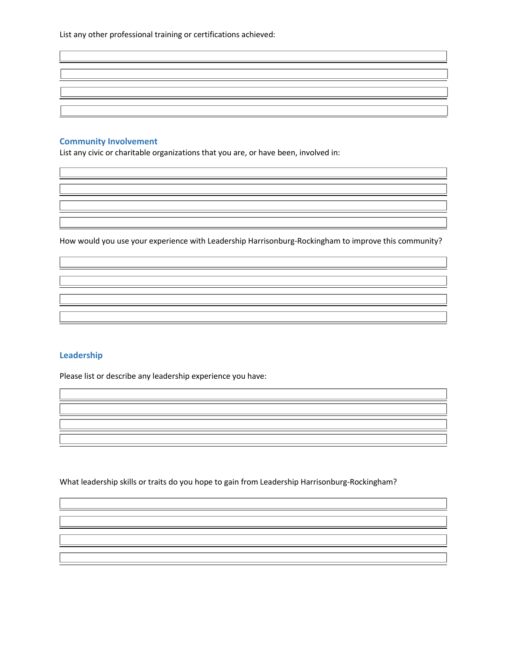List any other professional training or certifications achieved:

## **Community Involvement**

L

 $\overline{\phantom{a}}$ 

Ļ

L

L

L

L

Ļ

L

L

List any civic or charitable organizations that you are, or have been, involved in:

How would you use your experience with Leadership Harrisonburg-Rockingham to improve this community?

## **Leadership**

Please list or describe any leadership experience you have:

What leadership skills or traits do you hope to gain from Leadership Harrisonburg-Rockingham?